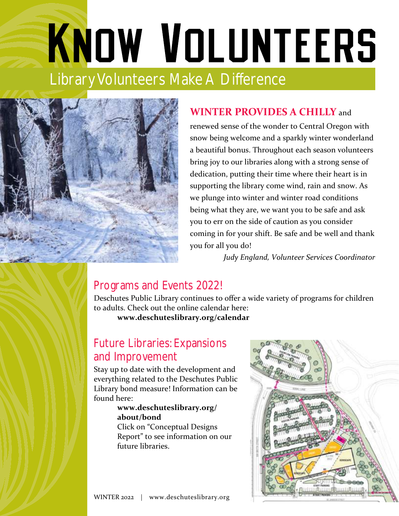# KNOW VOLUNTEERS Library Volunteers Make A Difference



## **WINTER PROVIDES A CHILLY** and

renewed sense of the wonder to Central Oregon with snow being welcome and a sparkly winter wonderland a beautiful bonus. Throughout each season volunteers bring joy to our libraries along with a strong sense of dedication, putting their time where their heart is in supporting the library come wind, rain and snow. As we plunge into winter and winter road conditions being what they are, we want you to be safe and ask you to err on the side of caution as you consider coming in for your shift. Be safe and be well and thank you for all you do!

*Judy England, Volunteer Services Coordinator* 

### Programs and Events 2022!

Deschutes Public Library continues to offer a wide variety of programs for children to adults. Check out the online calendar here:

**www.deschuteslibrary.org/calendar**

## Future Libraries: Expansions and Improvement

Stay up to date with the development and everything related to the Deschutes Public Library bond measure! Information can be found here:

#### **[www.deschuteslibrary.org/](http://www.deschuteslibrary.org/about/bond) [about/bond](http://www.deschuteslibrary.org/about/bond)**

Click on "Conceptual Designs Report" to see information on our future libraries.

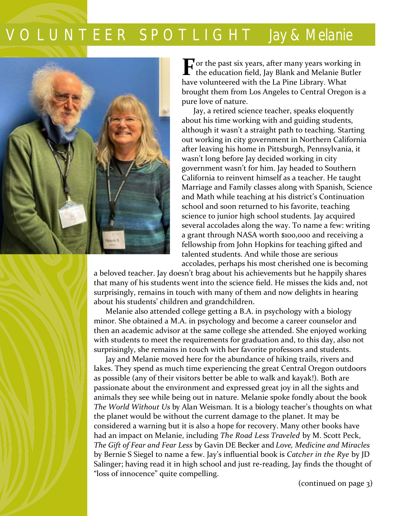# V O L U N T E E R S P O T L I G H T *Jay & Melanie*



**F** or the past six years, after many years working in the education field, Jay Blank and Melanie Butler the education field, Jay Blank and Melanie Butler have volunteered with the La Pine Library. What brought them from Los Angeles to Central Oregon is a pure love of nature.

 Jay, a retired science teacher, speaks eloquently about his time working with and guiding students, although it wasn't a straight path to teaching. Starting out working in city government in Northern California after leaving his home in Pittsburgh, Pennsylvania, it wasn't long before Jay decided working in city government wasn't for him. Jay headed to Southern California to reinvent himself as a teacher. He taught Marriage and Family classes along with Spanish, Science and Math while teaching at his district's Continuation school and soon returned to his favorite, teaching science to junior high school students. Jay acquired several accolades along the way. To name a few: writing a grant through NASA worth \$100,000 and receiving a fellowship from John Hopkins for teaching gifted and talented students. And while those are serious accolades, perhaps his most cherished one is becoming

a beloved teacher. Jay doesn't brag about his achievements but he happily shares that many of his students went into the science field. He misses the kids and, not surprisingly, remains in touch with many of them and now delights in hearing about his students' children and grandchildren.

Melanie also attended college getting a B.A. in psychology with a biology minor. She obtained a M.A. in psychology and become a career counselor and then an academic advisor at the same college she attended. She enjoyed working with students to meet the requirements for graduation and, to this day, also not surprisingly, she remains in touch with her favorite professors and students.

Jay and Melanie moved here for the abundance of hiking trails, rivers and lakes. They spend as much time experiencing the great Central Oregon outdoors as possible (any of their visitors better be able to walk and kayak!). Both are passionate about the environment and expressed great joy in all the sights and animals they see while being out in nature. Melanie spoke fondly about the book *The World Without Us* by Alan Weisman. It is a biology teacher's thoughts on what the planet would be without the current damage to the planet. It may be considered a warning but it is also a hope for recovery. Many other books have had an impact on Melanie, including *The Road Less Traveled* by M. Scott Peck, *The Gift of Fear and Fear Less* by Gavin DE Becker and *Love, Medicine and Miracles*  by Bernie S Siegel to name a few. Jay's influential book is *Catcher in the Rye* by JD Salinger; having read it in high school and just re-reading, Jay finds the thought of "loss of innocence" quite compelling.

(continued on page 3)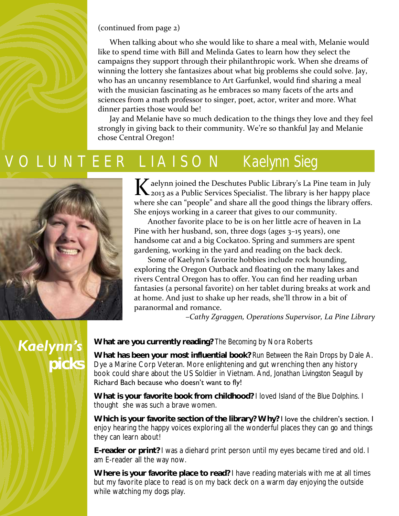

When talking about who she would like to share a meal with, Melanie would like to spend time with Bill and Melinda Gates to learn how they select the campaigns they support through their philanthropic work. When she dreams of winning the lottery she fantasizes about what big problems she could solve. Jay, who has an uncanny resemblance to Art Garfunkel, would find sharing a meal with the musician fascinating as he embraces so many facets of the arts and sciences from a math professor to singer, poet, actor, writer and more. What dinner parties those would be!

Jay and Melanie have so much dedication to the things they love and they feel strongly in giving back to their community. We're so thankful Jay and Melanie chose Central Oregon!

## V O L U N T E E R L I A I S O N *Kaelynn Sieg*



K aelynn joined the Deschutes Public Library's La Pine team in July<br>2013 as a Public Services Specialist. The library is her happy place 2013 as a Public Services Specialist. The library is her happy place where she can "people" and share all the good things the library offers. She enjoys working in a career that gives to our community.

 Another favorite place to be is on her little acre of heaven in La Pine with her husband, son, three dogs (ages 3–15 years), one handsome cat and a big Cockatoo. Spring and summers are spent gardening, working in the yard and reading on the back deck.

 Some of Kaelynn's favorite hobbies include rock hounding, exploring the Oregon Outback and floating on the many lakes and rivers Central Oregon has to offer. You can find her reading urban fantasies (a personal favorite) on her tablet during breaks at work and at home. And just to shake up her reads, she'll throw in a bit of paranormal and romance.

*–Cathy Zgraggen, Operations Supervisor, La Pine Library* 

## *Kaelynn's picks*

**What are you currently reading?** *The Becoming* by Nora Roberts

**What has been your most influential book?** *Run Between the Rain Drops* by Dale A. Dye a Marine Corp Veteran. More enlightening and gut wrenching then any history book could share about the US Soldier in Vietnam. And, *Jonathan Livingston Seagull* by Richard Bach because who doesn't want to fly!

**What is your favorite book from childhood?** I loved *Island of the Blue Dolphins*. I thought she was such a brave women.

Which is your favorite section of the library? Why? I love the children's section. I enjoy hearing the happy voices exploring all the wonderful places they can go and things they can learn about!

**E-reader or print?** I was a diehard print person until my eyes became tired and old. I am E-reader all the way now.

 **Where is your favorite place to read?** I have reading materials with me at all times but my favorite place to read is on my back deck on a warm day enjoying the outside while watching my dogs play.